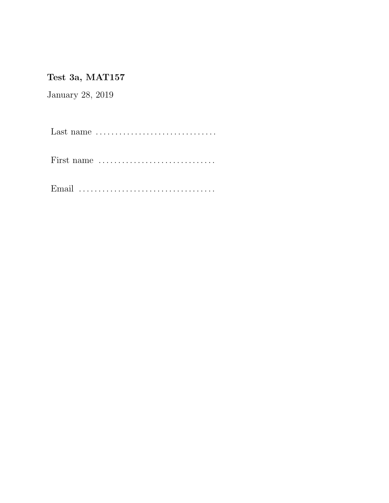## Test 3a, MAT157

January 28, 2019

Last name . . . . . . . . . . . . . . . . . . . . . . . . . . . . . . .

First name . . . . . . . . . . . . . . . . . . . . . . . . . . . . . .

Email . . . . . . . . . . . . . . . . . . . . . . . . . . . . . . . . . . .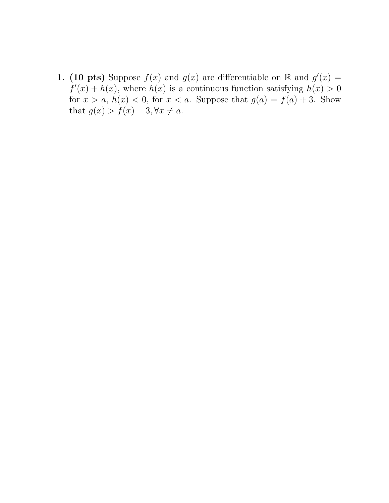**1.** (10 pts) Suppose  $f(x)$  and  $g(x)$  are differentiable on R and  $g'(x) =$  $f'(x) + h(x)$ , where  $h(x)$  is a continuous function satisfying  $h(x) > 0$ for  $x > a$ ,  $h(x) < 0$ , for  $x < a$ . Suppose that  $g(a) = f(a) + 3$ . Show that  $g(x) > f(x) + 3, \forall x \neq a$ .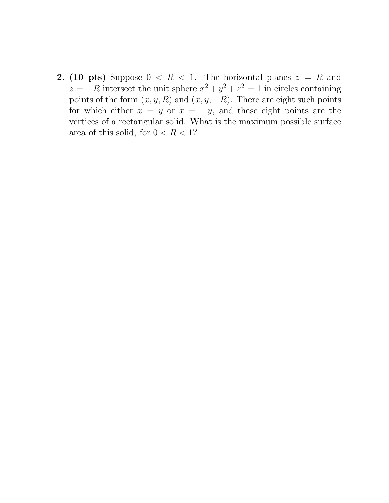**2.** (10 pts) Suppose  $0 \leq R \leq 1$ . The horizontal planes  $z = R$  and  $z = -R$  intersect the unit sphere  $x^2 + y^2 + z^2 = 1$  in circles containing points of the form  $(x, y, R)$  and  $(x, y, -R)$ . There are eight such points for which either  $x = y$  or  $x = -y$ , and these eight points are the vertices of a rectangular solid. What is the maximum possible surface area of this solid, for  $0 < R < 1$ ?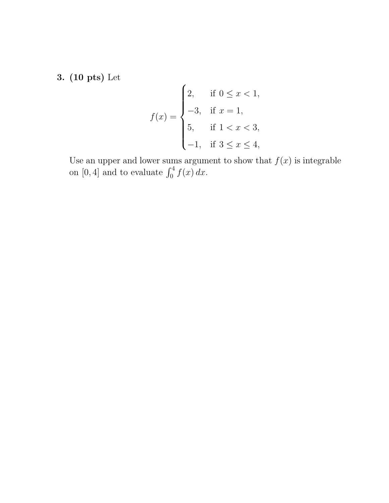3. (10 pts) Let

$$
f(x) = \begin{cases} 2, & \text{if } 0 \le x < 1, \\ -3, & \text{if } x = 1, \\ 5, & \text{if } 1 < x < 3, \\ -1, & \text{if } 3 \le x \le 4, \end{cases}
$$

Use an upper and lower sums argument to show that  $f(x)$  is integrable on [0, 4] and to evaluate  $\int_0^4 f(x) dx$ .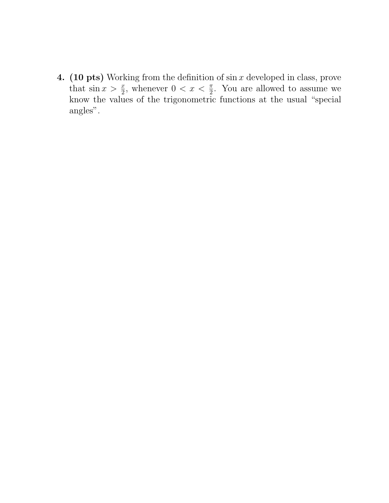**4.** (10 pts) Working from the definition of  $\sin x$  developed in class, prove that  $\sin x > \frac{x}{2}$ , whenever  $0 < x < \frac{\pi}{2}$ . You are allowed to assume we know the values of the trigonometric functions at the usual "special angles".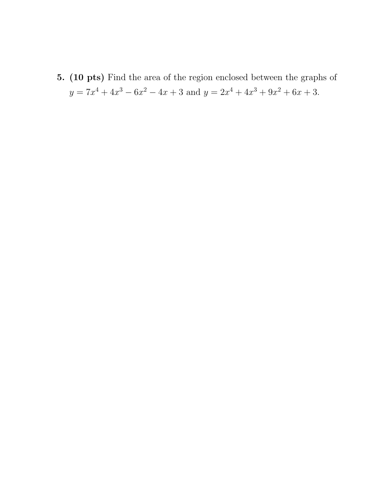5. (10 pts) Find the area of the region enclosed between the graphs of  $y = 7x^4 + 4x^3 - 6x^2 - 4x + 3$  and  $y = 2x^4 + 4x^3 + 9x^2 + 6x + 3$ .